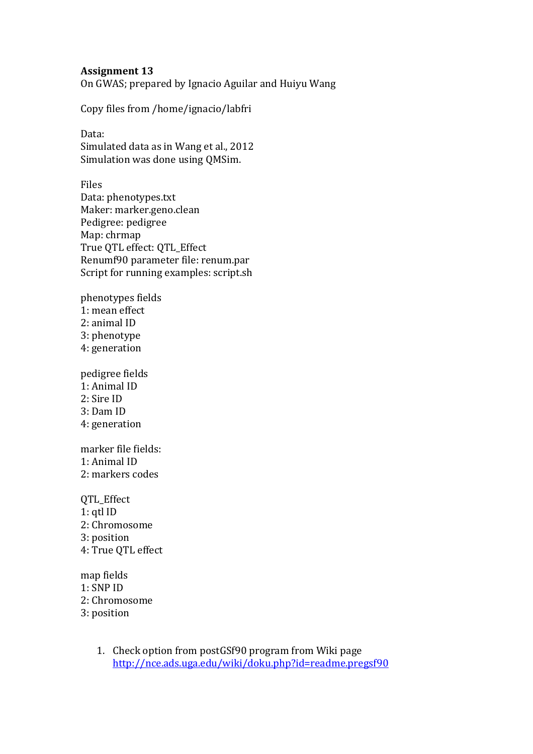## **Assignment 13**

On GWAS; prepared by Ignacio Aguilar and Huiyu Wang

Copy files from /home/ignacio/labfri

Data: Simulated data as in Wang et al., 2012 Simulation was done using QMSim.

Files Data: phenotypes.txt Maker: marker.geno.clean Pedigree: pedigree Map: chrmap True QTL effect: QTL\_Effect Renumf90 parameter file: renum.par Script for running examples: script.sh

phenotypes fields 1: mean effect 2: animal ID 3: phenotype 4: generation

pedigree fields 1: Animal ID 2: Sire ID 3: Dam ID 4: generation

marker file fields: 1: Animal ID 2: markers codes

QTL\_Effect 1: qtl ID 2: Chromosome 3: position 4: True QTL effect

map fields 1: SNP ID 2: Chromosome 3: position

> 1. Check option from postGSf90 program from Wiki page <http://nce.ads.uga.edu/wiki/doku.php?id=readme.pregsf90>